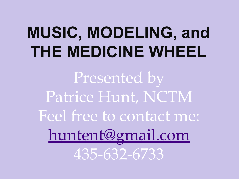# **MUSIC, MODELING, and THE MEDICINE WHEEL**

Presented by Patrice Hunt, NCTM Feel free to contact me: [huntent@gmail.com](mailto:huntent@gmail.com) 435-632-6733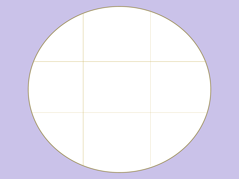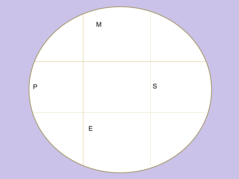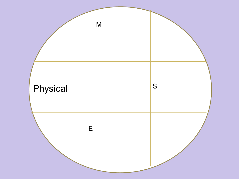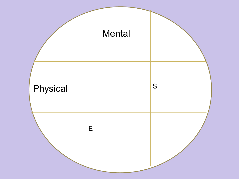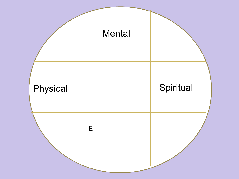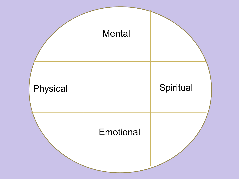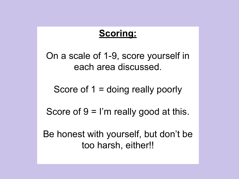#### **Scoring:**

On a scale of 1-9, score yourself in each area discussed.

Score of 1 = doing really poorly

Score of  $9 = I'm$  really good at this.

Be honest with yourself, but don't be too harsh, either!!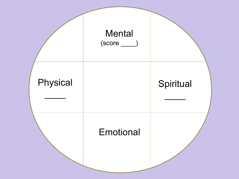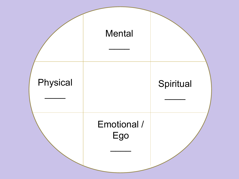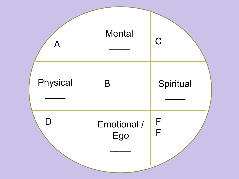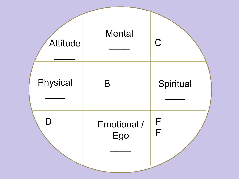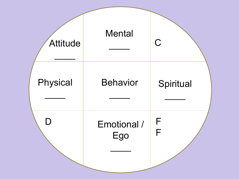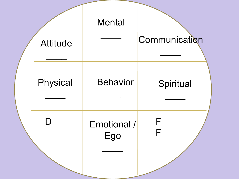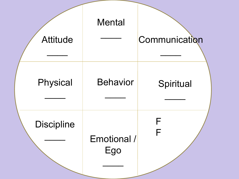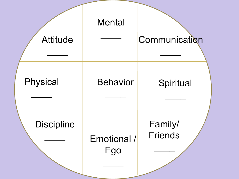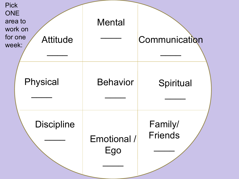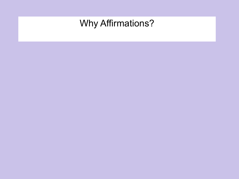#### Why Affirmations?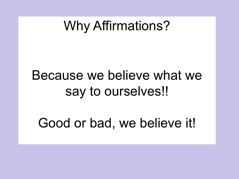#### Why Affirmations?

### Because we believe what we say to ourselves!!

Good or bad, we believe it!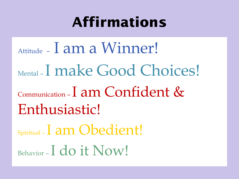### **Affirmations**

Attitude – I am a Winner! Mental - I make Good Choices! Communication – I am Confident & Enthusiastic! Spiritual - I am Obedient! Behavior - I do it Now!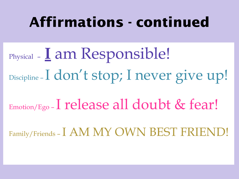### **Affirmations - continued**

Physical - **I** am Responsible! Discipline - I don't stop; I never give up!

Emotion/Ego-I release all doubt & fear!

Family/Friends - I AM MY OWN BEST FRIEND!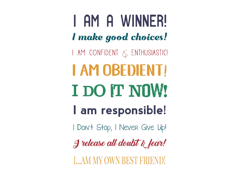I AM A WINNER! *l* make good choices! I AM CONFIDENT & ENTHUSIASTIC! **I AM OBEDIENT!** I DO IT NOW! I am responsible! I Don't Stop, I Never Give Up! I release all doubt & fear! **L.AM MY OWN BEST FRIEND!**